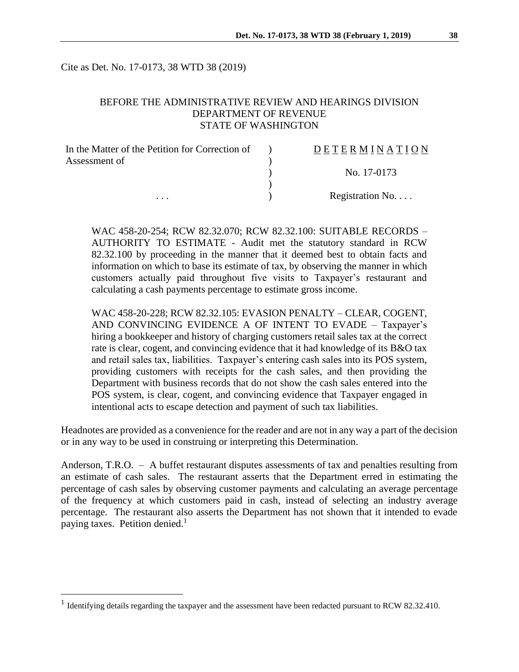Cite as Det. No. 17-0173, 38 WTD 38 (2019)

## BEFORE THE ADMINISTRATIVE REVIEW AND HEARINGS DIVISION DEPARTMENT OF REVENUE STATE OF WASHINGTON

| In the Matter of the Petition for Correction of | DETERMINATION   |
|-------------------------------------------------|-----------------|
| Assessment of                                   |                 |
|                                                 | No. 17-0173     |
|                                                 |                 |
| .                                               | Registration No |

WAC 458-20-254; RCW 82.32.070; RCW 82.32.100: SUITABLE RECORDS – AUTHORITY TO ESTIMATE - Audit met the statutory standard in RCW 82.32.100 by proceeding in the manner that it deemed best to obtain facts and information on which to base its estimate of tax, by observing the manner in which customers actually paid throughout five visits to Taxpayer's restaurant and calculating a cash payments percentage to estimate gross income.

WAC 458-20-228; RCW 82.32.105: EVASION PENALTY – CLEAR, COGENT, AND CONVINCING EVIDENCE A OF INTENT TO EVADE – Taxpayer's hiring a bookkeeper and history of charging customers retail sales tax at the correct rate is clear, cogent, and convincing evidence that it had knowledge of its B&O tax and retail sales tax, liabilities. Taxpayer's entering cash sales into its POS system, providing customers with receipts for the cash sales, and then providing the Department with business records that do not show the cash sales entered into the POS system, is clear, cogent, and convincing evidence that Taxpayer engaged in intentional acts to escape detection and payment of such tax liabilities.

Headnotes are provided as a convenience for the reader and are not in any way a part of the decision or in any way to be used in construing or interpreting this Determination.

Anderson, T.R.O. – A buffet restaurant disputes assessments of tax and penalties resulting from an estimate of cash sales. The restaurant asserts that the Department erred in estimating the percentage of cash sales by observing customer payments and calculating an average percentage of the frequency at which customers paid in cash, instead of selecting an industry average percentage. The restaurant also asserts the Department has not shown that it intended to evade paying taxes. Petition denied.<sup>1</sup>

 $\overline{a}$ 

<sup>&</sup>lt;sup>1</sup> Identifying details regarding the taxpayer and the assessment have been redacted pursuant to RCW 82.32.410.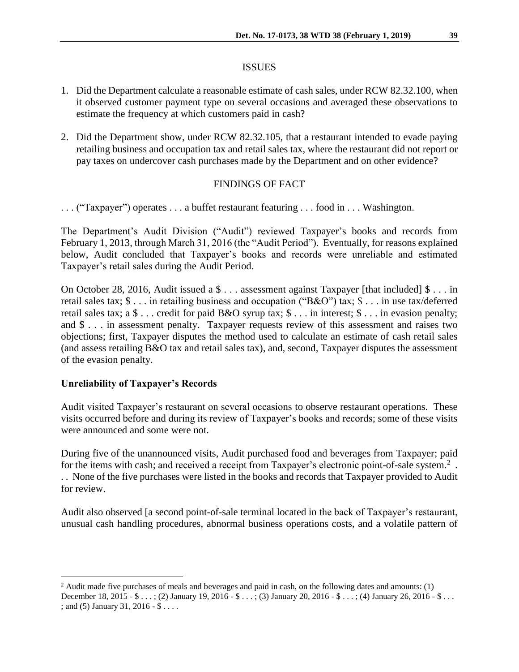#### ISSUES

- 1. Did the Department calculate a reasonable estimate of cash sales, under RCW 82.32.100, when it observed customer payment type on several occasions and averaged these observations to estimate the frequency at which customers paid in cash?
- 2. Did the Department show, under RCW 82.32.105, that a restaurant intended to evade paying retailing business and occupation tax and retail sales tax, where the restaurant did not report or pay taxes on undercover cash purchases made by the Department and on other evidence?

## FINDINGS OF FACT

. . . ("Taxpayer") operates . . . a buffet restaurant featuring . . . food in . . . Washington.

The Department's Audit Division ("Audit") reviewed Taxpayer's books and records from February 1, 2013, through March 31, 2016 (the "Audit Period"). Eventually, for reasons explained below, Audit concluded that Taxpayer's books and records were unreliable and estimated Taxpayer's retail sales during the Audit Period.

On October 28, 2016, Audit issued a \$ . . . assessment against Taxpayer [that included] \$ . . . in retail sales tax; \$ . . . in retailing business and occupation ("B&O") tax; \$ . . . in use tax/deferred retail sales tax; a \$ . . . credit for paid B&O syrup tax; \$ . . . in interest; \$ . . . in evasion penalty; and \$ . . . in assessment penalty. Taxpayer requests review of this assessment and raises two objections; first, Taxpayer disputes the method used to calculate an estimate of cash retail sales (and assess retailing B&O tax and retail sales tax), and, second, Taxpayer disputes the assessment of the evasion penalty.

### **Unreliability of Taxpayer's Records**

 $\overline{a}$ 

Audit visited Taxpayer's restaurant on several occasions to observe restaurant operations. These visits occurred before and during its review of Taxpayer's books and records; some of these visits were announced and some were not.

During five of the unannounced visits, Audit purchased food and beverages from Taxpayer; paid for the items with cash; and received a receipt from Taxpayer's electronic point-of-sale system.<sup>2</sup>. . . None of the five purchases were listed in the books and records that Taxpayer provided to Audit for review.

Audit also observed [a second point-of-sale terminal located in the back of Taxpayer's restaurant, unusual cash handling procedures, abnormal business operations costs, and a volatile pattern of

<sup>&</sup>lt;sup>2</sup> Audit made five purchases of meals and beverages and paid in cash, on the following dates and amounts: (1) December 18, 2015 - \$ . . . ; (2) January 19, 2016 - \$ . . . ; (3) January 20, 2016 - \$ . . . ; (4) January 26, 2016 - \$ . . . ; and (5) January 31, 2016 - \$ . . . .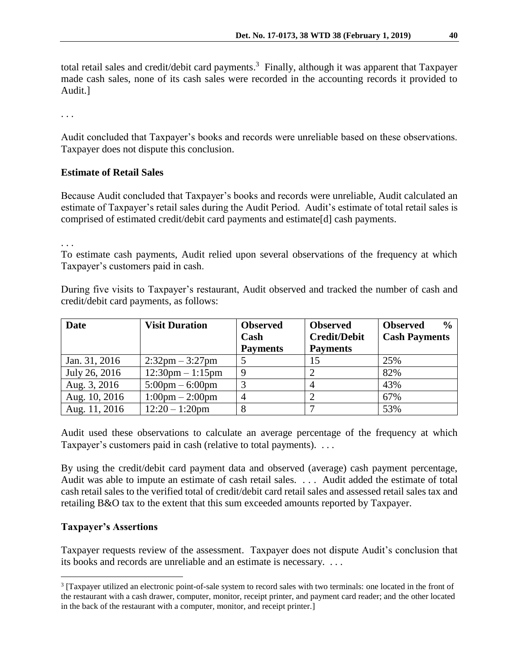total retail sales and credit/debit card payments.<sup>3</sup> Finally, although it was apparent that Taxpayer made cash sales, none of its cash sales were recorded in the accounting records it provided to Audit.]

. . .

Audit concluded that Taxpayer's books and records were unreliable based on these observations. Taxpayer does not dispute this conclusion.

# **Estimate of Retail Sales**

Because Audit concluded that Taxpayer's books and records were unreliable, Audit calculated an estimate of Taxpayer's retail sales during the Audit Period. Audit's estimate of total retail sales is comprised of estimated credit/debit card payments and estimate[d] cash payments.

. . .

To estimate cash payments, Audit relied upon several observations of the frequency at which Taxpayer's customers paid in cash.

During five visits to Taxpayer's restaurant, Audit observed and tracked the number of cash and credit/debit card payments, as follows:

| <b>Date</b>   | <b>Visit Duration</b>              | <b>Observed</b><br>Cash | <b>Observed</b><br><b>Credit/Debit</b> | $\frac{0}{0}$<br><b>Observed</b><br><b>Cash Payments</b> |
|---------------|------------------------------------|-------------------------|----------------------------------------|----------------------------------------------------------|
|               |                                    | <b>Payments</b>         | <b>Payments</b>                        |                                                          |
| Jan. 31, 2016 | $2:32 \text{pm} - 3:27 \text{pm}$  |                         | 15                                     | 25%                                                      |
| July 26, 2016 | $12:30 \text{pm} - 1:15 \text{pm}$ | 9                       |                                        | 82%                                                      |
| Aug. 3, 2016  | $5:00 \text{pm} - 6:00 \text{pm}$  |                         |                                        | 43%                                                      |
| Aug. 10, 2016 | $1:00 \text{pm} - 2:00 \text{pm}$  | 4                       |                                        | 67%                                                      |
| Aug. 11, 2016 | $12:20 - 1:20$ pm                  | 8                       |                                        | 53%                                                      |

Audit used these observations to calculate an average percentage of the frequency at which Taxpayer's customers paid in cash (relative to total payments). . . .

By using the credit/debit card payment data and observed (average) cash payment percentage, Audit was able to impute an estimate of cash retail sales. . . . Audit added the estimate of total cash retail sales to the verified total of credit/debit card retail sales and assessed retail sales tax and retailing B&O tax to the extent that this sum exceeded amounts reported by Taxpayer.

# **Taxpayer's Assertions**

 $\overline{a}$ 

Taxpayer requests review of the assessment. Taxpayer does not dispute Audit's conclusion that its books and records are unreliable and an estimate is necessary. . . .

<sup>3</sup> [Taxpayer utilized an electronic point-of-sale system to record sales with two terminals: one located in the front of the restaurant with a cash drawer, computer, monitor, receipt printer, and payment card reader; and the other located in the back of the restaurant with a computer, monitor, and receipt printer.]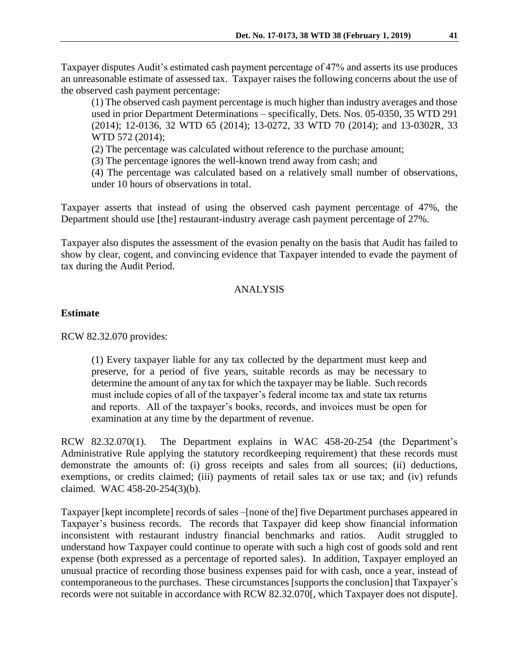Taxpayer disputes Audit's estimated cash payment percentage of 47% and asserts its use produces an unreasonable estimate of assessed tax. Taxpayer raises the following concerns about the use of the observed cash payment percentage:

(1) The observed cash payment percentage is much higher than industry averages and those used in prior Department Determinations – specifically, Dets. Nos. 05-0350, 35 WTD 291 (2014); 12-0136, 32 WTD 65 (2014); 13-0272, 33 WTD 70 (2014); and 13-0302R, 33 WTD 572 (2014);

(2) The percentage was calculated without reference to the purchase amount;

(3) The percentage ignores the well-known trend away from cash; and

(4) The percentage was calculated based on a relatively small number of observations, under 10 hours of observations in total.

Taxpayer asserts that instead of using the observed cash payment percentage of 47%, the Department should use [the] restaurant-industry average cash payment percentage of 27%.

Taxpayer also disputes the assessment of the evasion penalty on the basis that Audit has failed to show by clear, cogent, and convincing evidence that Taxpayer intended to evade the payment of tax during the Audit Period.

# ANALYSIS

# **Estimate**

RCW 82.32.070 provides:

(1) Every taxpayer liable for any tax collected by the department must keep and preserve, for a period of five years, suitable records as may be necessary to determine the amount of any tax for which the taxpayer may be liable. Such records must include copies of all of the taxpayer's federal income tax and state tax returns and reports. All of the taxpayer's books, records, and invoices must be open for examination at any time by the department of revenue.

RCW 82.32.070(1). The Department explains in WAC 458-20-254 (the Department's Administrative Rule applying the statutory recordkeeping requirement) that these records must demonstrate the amounts of: (i) gross receipts and sales from all sources; (ii) deductions, exemptions, or credits claimed; (iii) payments of retail sales tax or use tax; and (iv) refunds claimed. WAC 458-20-254(3)(b).

Taxpayer [kept incomplete] records of sales –[none of the] five Department purchases appeared in Taxpayer's business records. The records that Taxpayer did keep show financial information inconsistent with restaurant industry financial benchmarks and ratios. Audit struggled to understand how Taxpayer could continue to operate with such a high cost of goods sold and rent expense (both expressed as a percentage of reported sales). In addition, Taxpayer employed an unusual practice of recording those business expenses paid for with cash, once a year, instead of contemporaneous to the purchases. These circumstances [supports the conclusion] that Taxpayer's records were not suitable in accordance with RCW 82.32.070[, which Taxpayer does not dispute].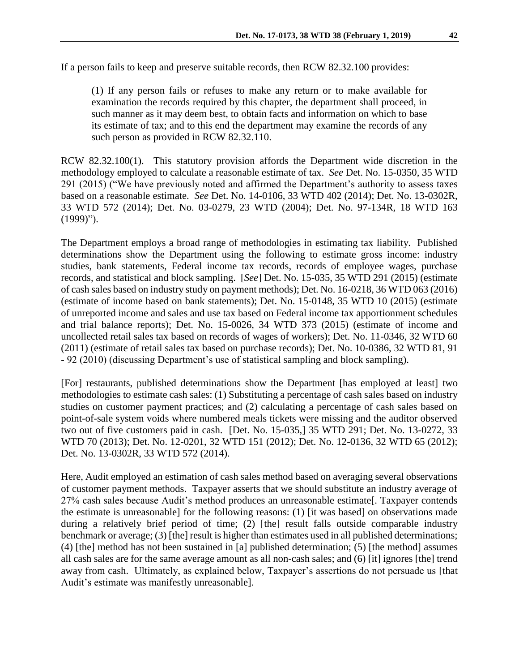(1) If any person fails or refuses to make any return or to make available for examination the records required by this chapter, the department shall proceed, in such manner as it may deem best, to obtain facts and information on which to base its estimate of tax; and to this end the department may examine the records of any such person as provided in RCW 82.32.110.

RCW 82.32.100(1). This statutory provision affords the Department wide discretion in the methodology employed to calculate a reasonable estimate of tax. *See* Det. No. 15-0350, 35 WTD 291 (2015) ("We have previously noted and affirmed the Department's authority to assess taxes based on a reasonable estimate. *See* Det. No. 14-0106, 33 WTD 402 (2014); Det. No. 13-0302R, 33 WTD 572 (2014); Det. No. 03-0279, 23 WTD (2004); Det. No. 97-134R, 18 WTD 163 (1999)").

The Department employs a broad range of methodologies in estimating tax liability. Published determinations show the Department using the following to estimate gross income: industry studies, bank statements, Federal income tax records, records of employee wages, purchase records, and statistical and block sampling. [*See*] Det. No. 15-035, 35 WTD 291 (2015) (estimate of cash sales based on industry study on payment methods); Det. No. 16-0218, 36 WTD 063 (2016) (estimate of income based on bank statements); Det. No. 15-0148, 35 WTD 10 (2015) (estimate of unreported income and sales and use tax based on Federal income tax apportionment schedules and trial balance reports); Det. No. 15-0026, 34 WTD 373 (2015) (estimate of income and uncollected retail sales tax based on records of wages of workers); Det. No. 11-0346, 32 WTD 60 (2011) (estimate of retail sales tax based on purchase records); Det. No. 10-0386, 32 WTD 81, 91 - 92 (2010) (discussing Department's use of statistical sampling and block sampling).

[For] restaurants, published determinations show the Department [has employed at least] two methodologies to estimate cash sales: (1) Substituting a percentage of cash sales based on industry studies on customer payment practices; and (2) calculating a percentage of cash sales based on point-of-sale system voids where numbered meals tickets were missing and the auditor observed two out of five customers paid in cash. [Det. No. 15-035,] 35 WTD 291; Det. No. 13-0272, 33 WTD 70 (2013); Det. No. 12-0201, 32 WTD 151 (2012); Det. No. 12-0136, 32 WTD 65 (2012); Det. No. 13-0302R, 33 WTD 572 (2014).

Here, Audit employed an estimation of cash sales method based on averaging several observations of customer payment methods. Taxpayer asserts that we should substitute an industry average of 27% cash sales because Audit's method produces an unreasonable estimate[. Taxpayer contends the estimate is unreasonable] for the following reasons: (1) [it was based] on observations made during a relatively brief period of time; (2) [the] result falls outside comparable industry benchmark or average; (3) [the] result is higher than estimates used in all published determinations; (4) [the] method has not been sustained in [a] published determination; (5) [the method] assumes all cash sales are for the same average amount as all non-cash sales; and (6) [it] ignores [the] trend away from cash. Ultimately, as explained below, Taxpayer's assertions do not persuade us [that Audit's estimate was manifestly unreasonable].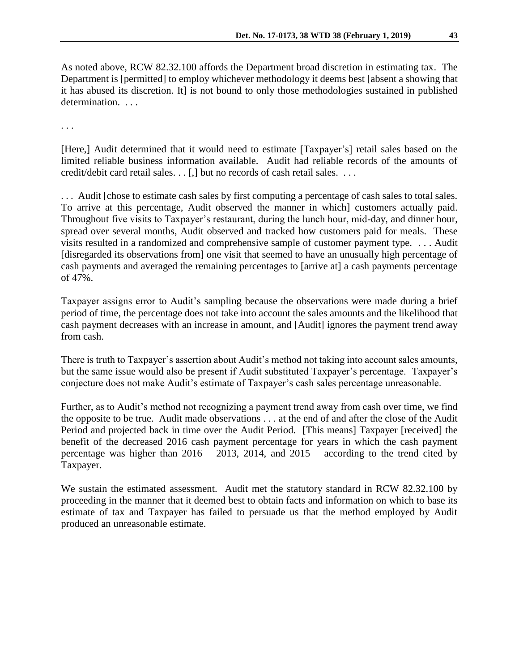As noted above, RCW 82.32.100 affords the Department broad discretion in estimating tax. The Department is [permitted] to employ whichever methodology it deems best [absent a showing that it has abused its discretion. It] is not bound to only those methodologies sustained in published determination. . . .

. . .

[Here,] Audit determined that it would need to estimate [Taxpayer's] retail sales based on the limited reliable business information available. Audit had reliable records of the amounts of credit/debit card retail sales. . . [,] but no records of cash retail sales. . . .

. . . Audit [chose to estimate cash sales by first computing a percentage of cash sales to total sales. To arrive at this percentage, Audit observed the manner in which] customers actually paid. Throughout five visits to Taxpayer's restaurant, during the lunch hour, mid-day, and dinner hour, spread over several months, Audit observed and tracked how customers paid for meals. These visits resulted in a randomized and comprehensive sample of customer payment type. . . . Audit [disregarded its observations from] one visit that seemed to have an unusually high percentage of cash payments and averaged the remaining percentages to [arrive at] a cash payments percentage of 47%.

Taxpayer assigns error to Audit's sampling because the observations were made during a brief period of time, the percentage does not take into account the sales amounts and the likelihood that cash payment decreases with an increase in amount, and [Audit] ignores the payment trend away from cash.

There is truth to Taxpayer's assertion about Audit's method not taking into account sales amounts, but the same issue would also be present if Audit substituted Taxpayer's percentage. Taxpayer's conjecture does not make Audit's estimate of Taxpayer's cash sales percentage unreasonable.

Further, as to Audit's method not recognizing a payment trend away from cash over time, we find the opposite to be true. Audit made observations . . . at the end of and after the close of the Audit Period and projected back in time over the Audit Period. [This means] Taxpayer [received] the benefit of the decreased 2016 cash payment percentage for years in which the cash payment percentage was higher than  $2016 - 2013$ ,  $2014$ , and  $2015 -$  according to the trend cited by Taxpayer.

We sustain the estimated assessment. Audit met the statutory standard in RCW 82.32.100 by proceeding in the manner that it deemed best to obtain facts and information on which to base its estimate of tax and Taxpayer has failed to persuade us that the method employed by Audit produced an unreasonable estimate.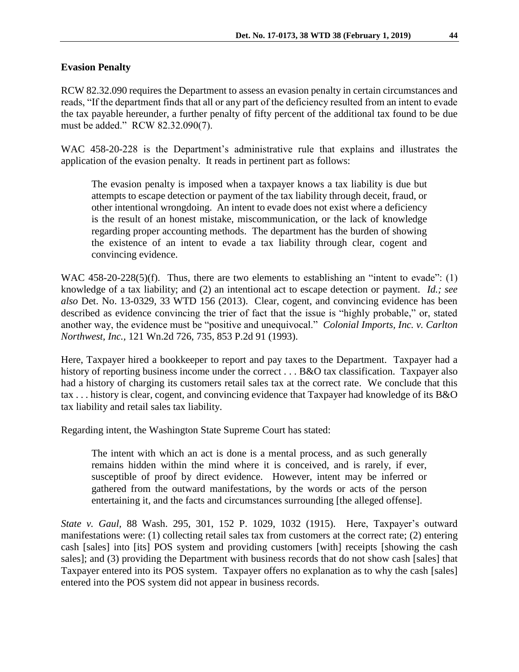### **Evasion Penalty**

RCW 82.32.090 requires the Department to assess an evasion penalty in certain circumstances and reads, "If the department finds that all or any part of the deficiency resulted from an intent to evade the tax payable hereunder, a further penalty of fifty percent of the additional tax found to be due must be added." RCW 82.32.090(7).

WAC 458-20-228 is the Department's administrative rule that explains and illustrates the application of the evasion penalty. It reads in pertinent part as follows:

The evasion penalty is imposed when a taxpayer knows a tax liability is due but attempts to escape detection or payment of the tax liability through deceit, fraud, or other intentional wrongdoing. An intent to evade does not exist where a deficiency is the result of an honest mistake, miscommunication, or the lack of knowledge regarding proper accounting methods. The department has the burden of showing the existence of an intent to evade a tax liability through clear, cogent and convincing evidence.

WAC 458-20-228(5)(f). Thus, there are two elements to establishing an "intent to evade": (1) knowledge of a tax liability; and (2) an intentional act to escape detection or payment. *Id.; see also* Det. No. 13-0329, 33 WTD 156 (2013). Clear, cogent, and convincing evidence has been described as evidence convincing the trier of fact that the issue is "highly probable," or, stated another way, the evidence must be "positive and unequivocal." *Colonial Imports, Inc. v. Carlton Northwest, Inc.,* 121 Wn.2d 726, 735, 853 P.2d 91 (1993).

Here, Taxpayer hired a bookkeeper to report and pay taxes to the Department. Taxpayer had a history of reporting business income under the correct . . . B&O tax classification. Taxpayer also had a history of charging its customers retail sales tax at the correct rate. We conclude that this tax . . . history is clear, cogent, and convincing evidence that Taxpayer had knowledge of its B&O tax liability and retail sales tax liability.

Regarding intent, the Washington State Supreme Court has stated:

The intent with which an act is done is a mental process, and as such generally remains hidden within the mind where it is conceived, and is rarely, if ever, susceptible of proof by direct evidence. However, intent may be inferred or gathered from the outward manifestations, by the words or acts of the person entertaining it, and the facts and circumstances surrounding [the alleged offense].

*State v. Gaul,* 88 Wash. 295, 301, 152 P. 1029, 1032 (1915). Here, Taxpayer's outward manifestations were: (1) collecting retail sales tax from customers at the correct rate; (2) entering cash [sales] into [its] POS system and providing customers [with] receipts [showing the cash sales]; and (3) providing the Department with business records that do not show cash [sales] that Taxpayer entered into its POS system. Taxpayer offers no explanation as to why the cash [sales] entered into the POS system did not appear in business records.